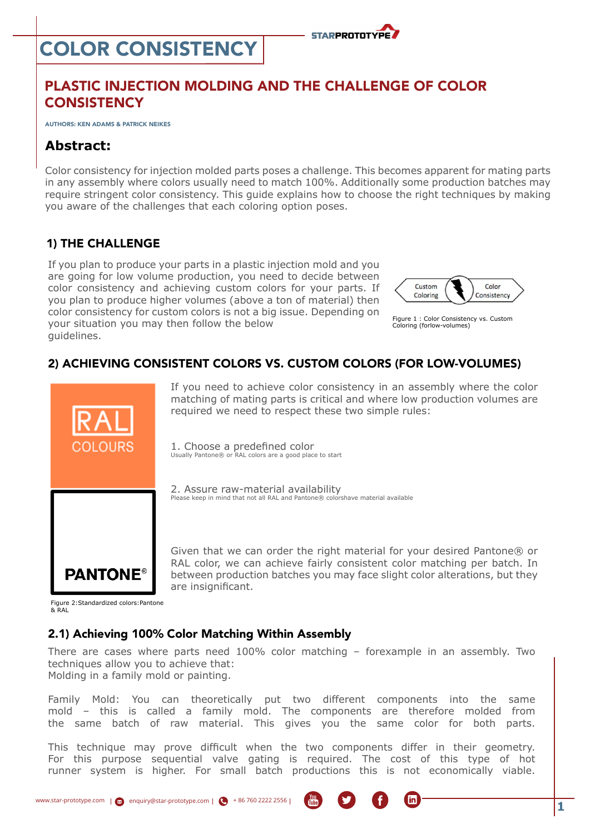# Color consistency



# Plastic Injection Molding and the Challenge of Color **CONSISTENCY**

Authors: Ken Adams & Patrick Neikes

# **Abstract:**

Color consistency for injection molded parts poses a challenge. This becomes apparent for mating parts in any assembly where colors usually need to match 100%. Additionally some production batches may require stringent color consistency. This guide explains how to choose the right techniques by making you aware of the challenges that each coloring option poses.

## 1) The Challenge

If you plan to produce your parts in a plastic injection mold and you are going for low volume production, you need to decide between color consistency and achieving custom colors for your parts. If you plan to produce higher volumes (above a ton of material) then color consistency for custom colors is not a big issue. Depending on your situation you may then follow the below guidelines.



Figure 1 : Color Consistency vs. Custom Coloring (forlow-volumes)

### 2) Achieving Consistent Colors vs. Custom Colors (for Low-Volumes)



If you need to achieve color consistency in an assembly where the color matching of mating parts is critical and where low production volumes are required we need to respect these two simple rules:

1. Choose a predefined color Usually Pantone® or RAL colors are a good place to start

2. Assure raw-material availability Please keep in mind that not all RAL and Pantone® colorshave material available

Given that we can order the right material for your desired Pantone® or RAL color, we can achieve fairly consistent color matching per batch. In between production batches you may face slight color alterations, but they are insignificant.

Figure 2:Standardized colors:Pantone & RAL

#### 2.1) Achieving 100% Color Matching Within Assembly

There are cases where parts need 100% color matching – forexample in an assembly. Two techniques allow you to achieve that: Molding in a family mold or painting.

Family Mold: You can theoretically put two different components into the same mold – this is called a family mold. The components are therefore molded from the same batch of raw material. This gives you the same color for both parts.

This technique may prove difficult when the two components differ in their geometry. For this purpose sequential valve gating is required. The cost of this type of hot runner system is higher. For small batch productions this is not economically viable.



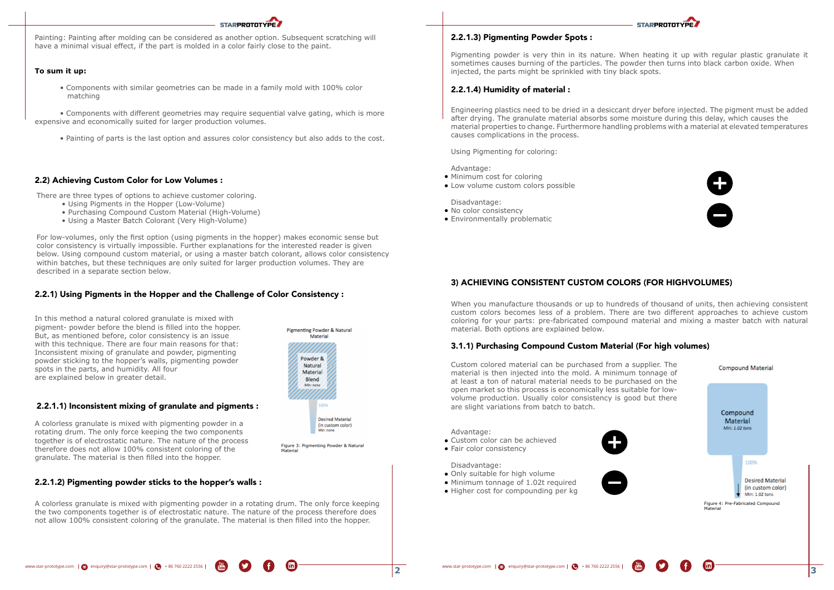Painting: Painting after molding can be considered as another option. Subsequent scratching will have a minimal visual effect, if the part is molded in a color fairly close to the paint.

**STARPROTOTYPE** 

#### **To sum it up:**

• Components with similar geometries can be made in a family mold with 100% color matching

• Components with different geometries may require sequential valve gating, which is more expensive and economically suited for larger production volumes.

• Painting of parts is the last option and assures color consistency but also adds to the cost.

For low-volumes, only the first option (using pigments in the hopper) makes economic sense but color consistency is virtually impossible. Further explanations for the interested reader is given below. Using compound custom material, or using a master batch colorant, allows color consistency within batches, but these techniques are only suited for larger production volumes. They are described in a separate section below.

There are three types of options to achieve customer coloring.

- Using Pigments in the Hopper (Low-Volume)
- Purchasing Compound Custom Material (High-Volume)
- Using a Master Batch Colorant (Very High-Volume)
- Minimum cost for coloring
- Low volume custom colors possible

- No color consistency
- Environmentally problematic

Pigmenting powder is very thin in its nature. When heating it up with regular plastic granulate it sometimes causes burning of the particles. The powder then turns into black carbon oxide. When injected, the parts might be sprinkled with tiny black spots.

Engineering plastics need to be dried in a desiccant dryer before injected. The pigment must be added after drying. The granulate material absorbs some moisture during this delay, which causes the material properties to change. Furthermore handling problems with a material at elevated temperatures causes complications in the process.

Using Pigmenting for coloring:

Advantage:

Disadvantage:

When you manufacture thousands or up to hundreds of thousand of units, then achieving consistent custom colors becomes less of a problem. There are two different approaches to achieve custom coloring for your parts: pre-fabricated compound material and mixing a master batch with natural material. Both options are explained below.



Custom colored material can be purchased from a supplier. The material is then injected into the mold. A minimum tonnage of at least a ton of natural material needs to be purchased on the open market so this process is economically less suitable for lowvolume production. Usually color consistency is good but there are slight variations from batch to batch.

Advantage:

- Custom color can be achieved
- Fair color consistency

Disadvantage:

- Only suitable for high volume
- Minimum tonnage of 1.02t required
- Higher cost for compounding per kg







In this method a natural colored granulate is mixed with pigment- powder before the blend is filled into the hopper. But, as mentioned before, color consistency is an issue with this technique. There are four main reasons for that: Inconsistent mixing of granulate and powder, pigmenting powder sticking to the hopper's walls, pigmenting powder spots in the parts, and humidity. All four are explained below in greater detail.

A colorless granulate is mixed with pigmenting powder in a rotating drum. The only force keeping the two components together is of electrostatic nature. The nature of the process therefore does not allow 100% consistent coloring of the granulate. The material is then filled into the hopper.

A colorless granulate is mixed with pigmenting powder in a rotating drum. The only force keeping the two components together is of electrostatic nature. The nature of the process therefore does not allow 100% consistent coloring of the granulate. The material is then filled into the hopper.

## Pigmenting Powder & Natural Material Powder & **Natural** Material Blend Min: non nned **Desired Material** (in custom color) Min: none

#### 2.2) Achieving Custom Color for Low Volumes :

#### 2.2.1) Using Pigments in the Hopper and the Challenge of Color Consistency :

### 2.2.1.1) Inconsistent mixing of granulate and pigments :



Figure 3: Pigmenting Powder & Natural Material

## 2.2.1.3) Pigmenting Powder Spots :

#### 2.2.1.4) Humidity of material :

# 3) Achieving Consistent Custom Colors (for HighVolumes)

# 3.1.1) Purchasing Compound Custom Material (For high volumes)